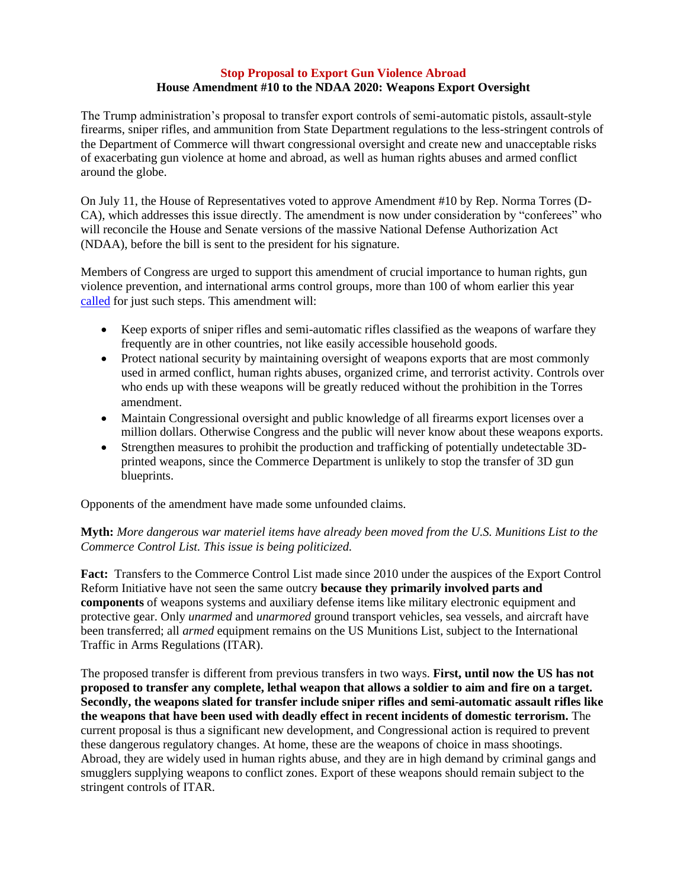## **Stop Proposal to Export Gun Violence Abroad House Amendment #10 to the NDAA 2020: Weapons Export Oversight**

The Trump administration's proposal to transfer export controls of semi-automatic pistols, assault-style firearms, sniper rifles, and ammunition from State Department regulations to the less-stringent controls of the Department of Commerce will thwart congressional oversight and create new and unacceptable risks of exacerbating gun violence at home and abroad, as well as human rights abuses and armed conflict around the globe.

On July 11, the House of Representatives voted to approve Amendment #10 by Rep. Norma Torres (D-CA), which addresses this issue directly. The amendment is now under consideration by "conferees" who will reconcile the House and Senate versions of the massive National Defense Authorization Act (NDAA), before the bill is sent to the president for his signature.

Members of Congress are urged to support this amendment of crucial importance to human rights, gun violence prevention, and international arms control groups, more than 100 of whom earlier this year [called](https://www.forumarmstrade.org/uploads/1/9/0/8/19082495/firearms_exports_sign-on_letter_with_signers_may_14_final.pdf) for just such steps. This amendment will:

- Keep exports of sniper rifles and semi-automatic rifles classified as the weapons of warfare they frequently are in other countries, not like easily accessible household goods.
- Protect national security by maintaining oversight of weapons exports that are most commonly used in armed conflict, human rights abuses, organized crime, and terrorist activity. Controls over who ends up with these weapons will be greatly reduced without the prohibition in the Torres amendment.
- Maintain Congressional oversight and public knowledge of all firearms export licenses over a million dollars. Otherwise Congress and the public will never know about these weapons exports.
- Strengthen measures to prohibit the production and trafficking of potentially undetectable 3Dprinted weapons, since the Commerce Department is unlikely to stop the transfer of 3D gun blueprints.

Opponents of the amendment have made some unfounded claims.

## **Myth:** *More dangerous war materiel items have already been moved from the U.S. Munitions List to the Commerce Control List. This issue is being politicized.*

**Fact:** Transfers to the Commerce Control List made since 2010 under the auspices of the Export Control Reform Initiative have not seen the same outcry **because they primarily involved parts and components** of weapons systems and auxiliary defense items like military electronic equipment and protective gear. Only *unarmed* and *unarmored* ground transport vehicles*,* sea vessels, and aircraft have been transferred; all *armed* equipment remains on the US Munitions List, subject to the International Traffic in Arms Regulations (ITAR).

The proposed transfer is different from previous transfers in two ways. **First, until now the US has not proposed to transfer any complete, lethal weapon that allows a soldier to aim and fire on a target. Secondly, the weapons slated for transfer include sniper rifles and semi-automatic assault rifles like the weapons that have been used with deadly effect in recent incidents of domestic terrorism.** The current proposal is thus a significant new development, and Congressional action is required to prevent these dangerous regulatory changes. At home, these are the weapons of choice in mass shootings. Abroad, they are widely used in human rights abuse, and they are in high demand by criminal gangs and smugglers supplying weapons to conflict zones. Export of these weapons should remain subject to the stringent controls of ITAR.